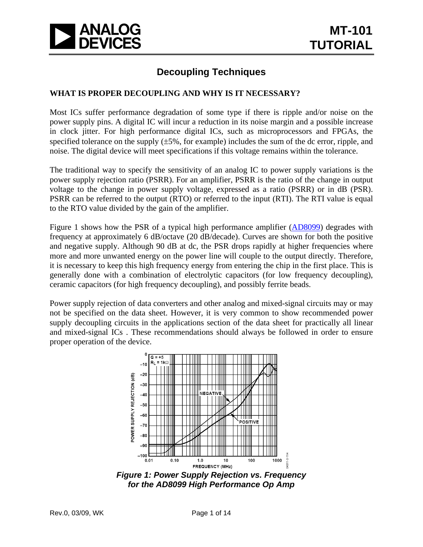

## **Decoupling Techniques**

## **WHAT IS PROPER DECOUPLING AND WHY IS IT NECESSARY?**

Most ICs suffer performance degradation of some type if there is ripple and/or noise on the power supply pins. A digital IC will incur a reduction in its noise margin and a possible increase in clock jitter. For high performance digital ICs, such as microprocessors and FPGAs, the specified tolerance on the supply (±5%, for example) includes the sum of the dc error, ripple, and noise. The digital device will meet specifications if this voltage remains within the tolerance.

The traditional way to specify the sensitivity of an analog IC to power supply variations is the power supply rejection ratio (PSRR). For an amplifier, PSRR is the ratio of the change in output voltage to the change in power supply voltage, expressed as a ratio (PSRR) or in dB (PSR). PSRR can be referred to the output (RTO) or referred to the input (RTI). The RTI value is equal to the RTO value divided by the gain of the amplifier.

Figure 1 shows how the PSR of a typical high performance amplifier [\(AD8099\)](http://www.analog.com/en/amplifiers-and-comparators/operational-amplifiers-op-amps/ad8099/products/product.html) degrades with frequency at approximately 6 dB/octave (20 dB/decade). Curves are shown for both the positive and negative supply. Although 90 dB at dc, the PSR drops rapidly at higher frequencies where more and more unwanted energy on the power line will couple to the output directly. Therefore, it is necessary to keep this high frequency energy from entering the chip in the first place. This is generally done with a combination of electrolytic capacitors (for low frequency decoupling), ceramic capacitors (for high frequency decoupling), and possibly ferrite beads.

Power supply rejection of data converters and other analog and mixed-signal circuits may or may not be specified on the data sheet. However, it is very common to show recommended power supply decoupling circuits in the applications section of the data sheet for practically all linear and mixed-signal ICs . These recommendations should always be followed in order to ensure proper operation of the device.



*Figure 1: Power Supply Rejection vs. Frequency for the AD8099 High Performance Op Amp*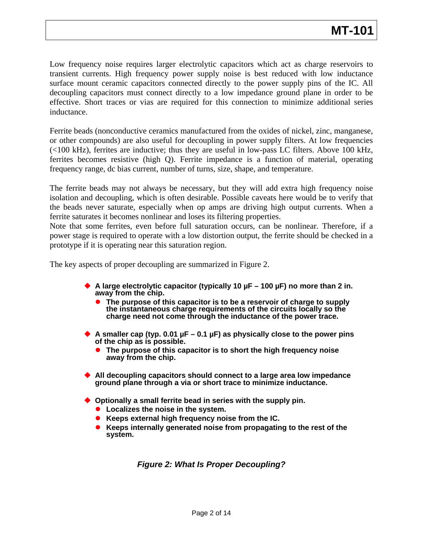Low frequency noise requires larger electrolytic capacitors which act as charge reservoirs to transient currents. High frequency power supply noise is best reduced with low inductance surface mount ceramic capacitors connected directly to the power supply pins of the IC. All decoupling capacitors must connect directly to a low impedance ground plane in order to be effective. Short traces or vias are required for this connection to minimize additional series inductance.

Ferrite beads (nonconductive ceramics manufactured from the oxides of nickel, zinc, manganese, or other compounds) are also useful for decoupling in power supply filters. At low frequencies (<100 kHz), ferrites are inductive; thus they are useful in low-pass LC filters. Above 100 kHz, ferrites becomes resistive (high Q). Ferrite impedance is a function of material, operating frequency range, dc bias current, number of turns, size, shape, and temperature.

The ferrite beads may not always be necessary, but they will add extra high frequency noise isolation and decoupling, which is often desirable. Possible caveats here would be to verify that the beads never saturate, especially when op amps are driving high output currents. When a ferrite saturates it becomes nonlinear and loses its filtering properties.

Note that some ferrites, even before full saturation occurs, can be nonlinear. Therefore, if a power stage is required to operate with a low distortion output, the ferrite should be checked in a prototype if it is operating near this saturation region.

The key aspects of proper decoupling are summarized in Figure 2.

- **A large electrolytic capacitor (typically 10 µF 100 µF) no more than 2 in. away from the chip.**
	- The purpose of this capacitor is to be a reservoir of charge to supply **the instantaneous charge requirements of the circuits locally so the charge need not come through the inductance of the power trace.**
- **A smaller cap (typ. 0.01 µF 0.1 µF) as physically close to the power pins of the chip as is possible.**
	- z **The purpose of this capacitor is to short the high frequency noise away from the chip.**
- **All decoupling capacitors should connect to a large area low impedance ground plane through a via or short trace to minimize inductance.**
- **Optionally a small ferrite bead in series with the supply pin.**
	- **•** Localizes the noise in the system.
	- **Example 2 Keeps external high frequency noise from the IC.**
	- **Keeps internally generated noise from propagating to the rest of the system.**

*Figure 2: What Is Proper Decoupling?*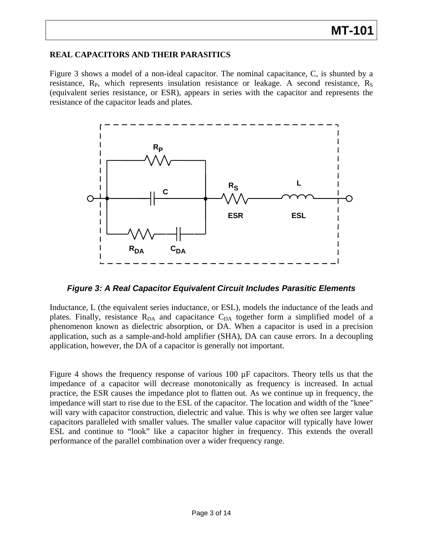## **MT-101**

#### **REAL CAPACITORS AND THEIR PARASITICS**

Figure 3 shows a model of a non-ideal capacitor. The nominal capacitance, C, is shunted by a resistance,  $R_{P}$ , which represents insulation resistance or leakage. A second resistance,  $R_{S}$ (equivalent series resistance, or ESR), appears in series with the capacitor and represents the resistance of the capacitor leads and plates.



*Figure 3: A Real Capacitor Equivalent Circuit Includes Parasitic Elements* 

Inductance, L (the equivalent series inductance, or ESL), models the inductance of the leads and plates. Finally, resistance  $R_{DA}$  and capacitance  $C_{DA}$  together form a simplified model of a phenomenon known as dielectric absorption, or DA. When a capacitor is used in a precision application, such as a sample-and-hold amplifier (SHA), DA can cause errors. In a decoupling application, however, the DA of a capacitor is generally not important.

Figure 4 shows the frequency response of various 100 µF capacitors. Theory tells us that the impedance of a capacitor will decrease monotonically as frequency is increased. In actual practice, the ESR causes the impedance plot to flatten out. As we continue up in frequency, the impedance will start to rise due to the ESL of the capacitor. The location and width of the "knee" will vary with capacitor construction, dielectric and value. This is why we often see larger value capacitors paralleled with smaller values. The smaller value capacitor will typically have lower ESL and continue to "look" like a capacitor higher in frequency. This extends the overall performance of the parallel combination over a wider frequency range.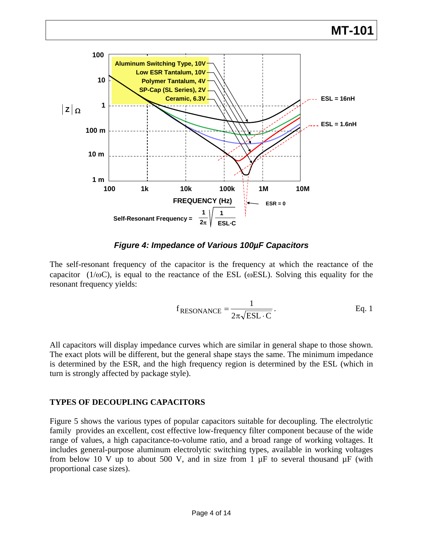

#### *Figure 4: Impedance of Various 100µF Capacitors*

The self-resonant frequency of the capacitor is the frequency at which the reactance of the capacitor (1/ $\omega$ C), is equal to the reactance of the ESL ( $\omega$ ESL). Solving this equality for the resonant frequency yields:

$$
f_{\text{RESONANCE}} = \frac{1}{2\pi\sqrt{\text{ESL} \cdot \text{C}}}
$$
. Eq. 1

All capacitors will display impedance curves which are similar in general shape to those shown. The exact plots will be different, but the general shape stays the same. The minimum impedance is determined by the ESR, and the high frequency region is determined by the ESL (which in turn is strongly affected by package style).

### **TYPES OF DECOUPLING CAPACITORS**

Figure 5 shows the various types of popular capacitors suitable for decoupling. The electrolytic family provides an excellent, cost effective low-frequency filter component because of the wide range of values, a high capacitance-to-volume ratio, and a broad range of working voltages. It includes general-purpose aluminum electrolytic switching types, available in working voltages from below 10 V up to about 500 V, and in size from 1  $\mu$ F to several thousand  $\mu$ F (with proportional case sizes).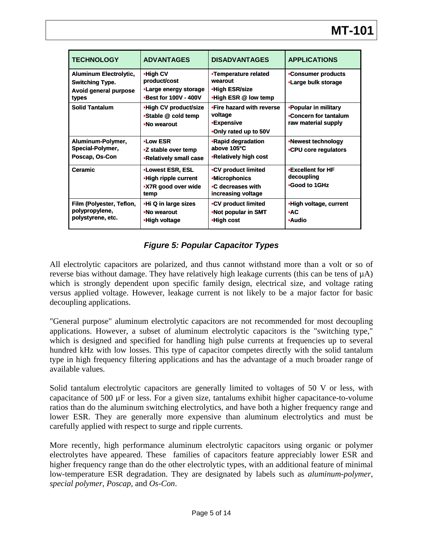| <b>TECHNOLOGY</b>                                                                         | <b>ADVANTAGES</b>                                                              | <b>DISADVANTAGES</b>                                                                   | <b>APPLICATIONS</b>                                                  |
|-------------------------------------------------------------------------------------------|--------------------------------------------------------------------------------|----------------------------------------------------------------------------------------|----------------------------------------------------------------------|
| <b>Aluminum Electrolytic,</b><br><b>Switching Type.</b><br>Avoid general purpose<br>types | •High CV<br>product/cost<br>•Large energy storage<br>•Best for 100V - 400V     | •Temperature related<br>wearout<br>•High ESR/size<br>•High ESR @ low temp              | •Consumer products<br>•Large bulk storage                            |
| <b>Solid Tantalum</b>                                                                     | .High CV product/size<br>•Stable @ cold temp<br>•No wearout                    | •Fire hazard with reverse<br>voltage<br><b>•Expensive</b><br>•Only rated up to 50V     | •Popular in military<br>.Concern for tantalum<br>raw material supply |
| Aluminum-Polymer,<br>Special-Polymer,<br>Poscap, Os-Con                                   | $\bullet$ Low ESR<br>•Z stable over temp<br>•Relatively small case             | •Rapid degradation<br>above 105°C<br>•Relatively high cost                             | •Newest technology<br>•CPU core regulators                           |
| <b>Ceramic</b>                                                                            | <b>.Lowest ESR, ESL</b><br>•High ripple current<br>•X7R good over wide<br>temp | •CV product limited<br><b>•Microphonics</b><br>•C decreases with<br>increasing voltage | •Excellent for HF<br>decoupling<br>•Good to 1GHz                     |
| Film (Polyester, Teflon,<br>polypropylene,<br>polystyrene, etc.                           | •Hi Q in large sizes<br>•No wearout<br>•High voltage                           | •CV product limited<br>•Not popular in SMT<br>•High cost                               | •High voltage, current<br>$\bullet$ AC<br>•Audio                     |

## *Figure 5: Popular Capacitor Types*

All electrolytic capacitors are polarized, and thus cannot withstand more than a volt or so of reverse bias without damage. They have relatively high leakage currents (this can be tens of µA) which is strongly dependent upon specific family design, electrical size, and voltage rating versus applied voltage. However, leakage current is not likely to be a major factor for basic decoupling applications.

"General purpose" aluminum electrolytic capacitors are not recommended for most decoupling applications. However, a subset of aluminum electrolytic capacitors is the "switching type," which is designed and specified for handling high pulse currents at frequencies up to several hundred kHz with low losses. This type of capacitor competes directly with the solid tantalum type in high frequency filtering applications and has the advantage of a much broader range of available values.

Solid tantalum electrolytic capacitors are generally limited to voltages of 50 V or less, with capacitance of 500 µF or less. For a given size, tantalums exhibit higher capacitance-to-volume ratios than do the aluminum switching electrolytics, and have both a higher frequency range and lower ESR. They are generally more expensive than aluminum electrolytics and must be carefully applied with respect to surge and ripple currents.

More recently, high performance aluminum electrolytic capacitors using organic or polymer electrolytes have appeared. These families of capacitors feature appreciably lower ESR and higher frequency range than do the other electrolytic types, with an additional feature of minimal low-temperature ESR degradation. They are designated by labels such as *aluminum-polymer*, *special polymer*, *Poscap*, and *Os-Con*.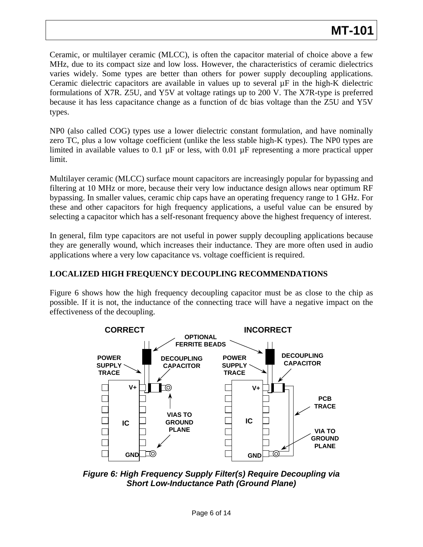Ceramic, or multilayer ceramic (MLCC), is often the capacitor material of choice above a few MHz, due to its compact size and low loss. However, the characteristics of ceramic dielectrics varies widely. Some types are better than others for power supply decoupling applications. Ceramic dielectric capacitors are available in values up to several  $\mu$ F in the high-K dielectric formulations of X7R. Z5U, and Y5V at voltage ratings up to 200 V. The X7R-type is preferred because it has less capacitance change as a function of dc bias voltage than the Z5U and Y5V types.

NP0 (also called COG) types use a lower dielectric constant formulation, and have nominally zero TC, plus a low voltage coefficient (unlike the less stable high-K types). The NP0 types are limited in available values to 0.1  $\mu$ F or less, with 0.01  $\mu$ F representing a more practical upper limit.

Multilayer ceramic (MLCC) surface mount capacitors are increasingly popular for bypassing and filtering at 10 MHz or more, because their very low inductance design allows near optimum RF bypassing. In smaller values, ceramic chip caps have an operating frequency range to 1 GHz. For these and other capacitors for high frequency applications, a useful value can be ensured by selecting a capacitor which has a self-resonant frequency above the highest frequency of interest.

In general, film type capacitors are not useful in power supply decoupling applications because they are generally wound, which increases their inductance. They are more often used in audio applications where a very low capacitance vs. voltage coefficient is required.

## **LOCALIZED HIGH FREQUENCY DECOUPLING RECOMMENDATIONS**

Figure 6 shows how the high frequency decoupling capacitor must be as close to the chip as possible. If it is not, the inductance of the connecting trace will have a negative impact on the effectiveness of the decoupling.



*Figure 6: High Frequency Supply Filter(s) Require Decoupling via Short Low-Inductance Path (Ground Plane)*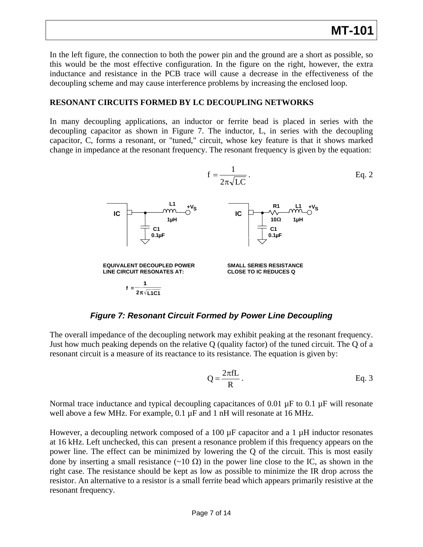In the left figure, the connection to both the power pin and the ground are a short as possible, so this would be the most effective configuration. In the figure on the right, however, the extra inductance and resistance in the PCB trace will cause a decrease in the effectiveness of the decoupling scheme and may cause interference problems by increasing the enclosed loop.

#### **RESONANT CIRCUITS FORMED BY LC DECOUPLING NETWORKS**

In many decoupling applications, an inductor or ferrite bead is placed in series with the decoupling capacitor as shown in Figure 7. The inductor, L, in series with the decoupling capacitor, C, forms a resonant, or "tuned," circuit, whose key feature is that it shows marked change in impedance at the resonant frequency. The resonant frequency is given by the equation:



*Figure 7: Resonant Circuit Formed by Power Line Decoupling* 

The overall impedance of the decoupling network may exhibit peaking at the resonant frequency. Just how much peaking depends on the relative Q (quality factor) of the tuned circuit. The Q of a resonant circuit is a measure of its reactance to its resistance. The equation is given by:

$$
Q = \frac{2\pi fL}{R}.
$$
 Eq. 3

Normal trace inductance and typical decoupling capacitances of 0.01  $\mu$ F to 0.1  $\mu$ F will resonate well above a few MHz. For example, 0.1 µF and 1 nH will resonate at 16 MHz.

However, a decoupling network composed of a 100  $\mu$ F capacitor and a 1  $\mu$ H inductor resonates at 16 kHz. Left unchecked, this can present a resonance problem if this frequency appears on the power line. The effect can be minimized by lowering the Q of the circuit. This is most easily done by inserting a small resistance (~10 Ω) in the power line close to the IC, as shown in the right case. The resistance should be kept as low as possible to minimize the IR drop across the resistor. An alternative to a resistor is a small ferrite bead which appears primarily resistive at the resonant frequency.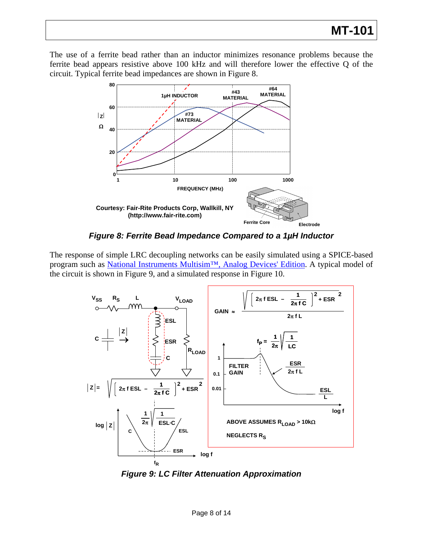The use of a ferrite bead rather than an inductor minimizes resonance problems because the ferrite bead appears resistive above 100 kHz and will therefore lower the effective Q of the circuit. Typical ferrite bead impedances are shown in Figure 8.



*Figure 8: Ferrite Bead Impedance Compared to a 1µH Inductor* 

The response of simple LRC decoupling networks can be easily simulated using a SPICE-based program such as [National Instruments Multisim™, Analog Devices' Edition.](http://www.analog.com/en/design-tools/dt-multisim-spice-program-download/design-center/index.html) A typical model of the circuit is shown in Figure 9, and a simulated response in Figure 10.



*Figure 9: LC Filter Attenuation Approximation*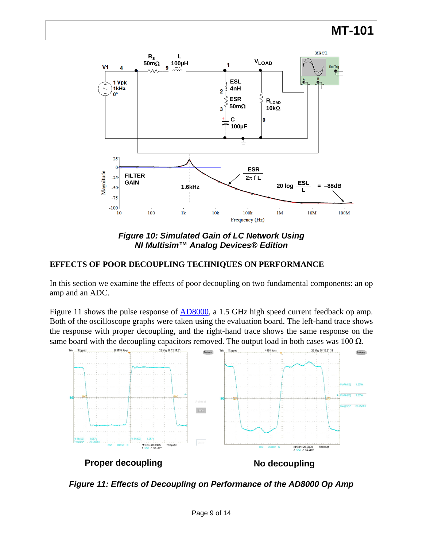



### **EFFECTS OF POOR DECOUPLING TECHNIQUES ON PERFORMANCE**

In this section we examine the effects of poor decoupling on two fundamental components: an op amp and an ADC.

Figure 11 shows the pulse response of [AD8000](http://www.analog.com/en/amplifiers-and-comparators/operational-amplifiers-op-amps/ad8000/products/product.html), a 1.5 GHz high speed current feedback op amp. Both of the oscilloscope graphs were taken using the evaluation board. The left-hand trace shows the response with proper decoupling, and the right-hand trace shows the same response on the same board with the decoupling capacitors removed. The output load in both cases was  $100 \Omega$ .



*Figure 11: Effects of Decoupling on Performance of the AD8000 Op Amp*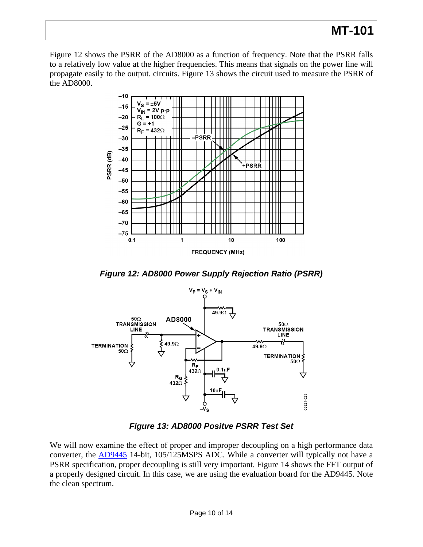# **MT-101**

Figure 12 shows the PSRR of the AD8000 as a function of frequency. Note that the PSRR falls to a relatively low value at the higher frequencies. This means that signals on the power line will propagate easily to the output. circuits. Figure 13 shows the circuit used to measure the PSRR of the AD8000.



*Figure 12: AD8000 Power Supply Rejection Ratio (PSRR)* 



*Figure 13: AD8000 Positve PSRR Test Set* 

We will now examine the effect of proper and improper decoupling on a high performance data converter, the [AD9445](http://www.analog.com/en/analog-to-digital-converters/ad-converters/ad9445/products/product.html) 14-bit, 105/125MSPS ADC. While a converter will typically not have a PSRR specification, proper decoupling is still very important. Figure 14 shows the FFT output of a properly designed circuit. In this case, we are using the evaluation board for the AD9445. Note the clean spectrum.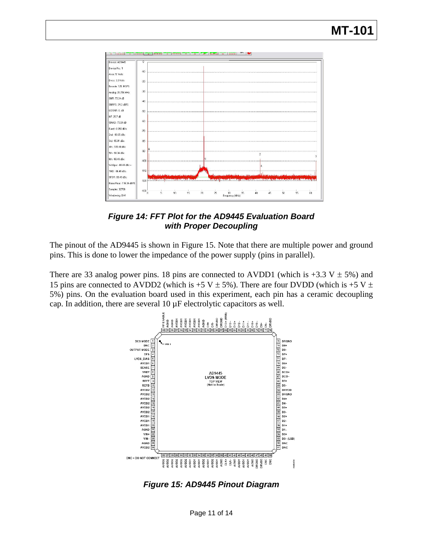

*Figure 14: FFT Plot for the AD9445 Evaluation Board with Proper Decoupling* 

The pinout of the AD9445 is shown in Figure 15. Note that there are multiple power and ground pins. This is done to lower the impedance of the power supply (pins in parallel).

There are 33 analog power pins. 18 pins are connected to AVDD1 (which is +3.3 V  $\pm$  5%) and 15 pins are connected to AVDD2 (which is +5 V  $\pm$  5%). There are four DVDD (which is +5 V  $\pm$ 5%) pins. On the evaluation board used in this experiment, each pin has a ceramic decoupling cap. In addition, there are several 10 µF electrolytic capacitors as well.



*Figure 15: AD9445 Pinout Diagram*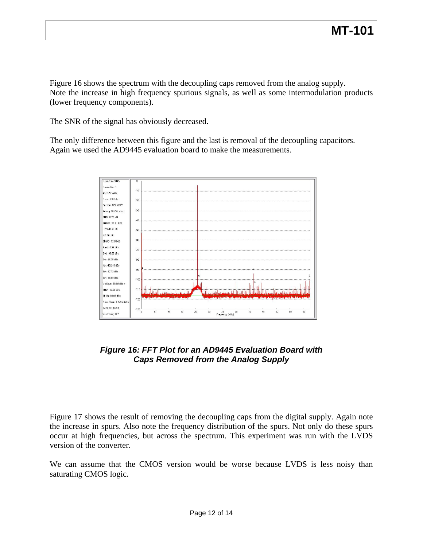Figure 16 shows the spectrum with the decoupling caps removed from the analog supply. Note the increase in high frequency spurious signals, as well as some intermodulation products (lower frequency components).

The SNR of the signal has obviously decreased.

The only difference between this figure and the last is removal of the decoupling capacitors. Again we used the AD9445 evaluation board to make the measurements.



## *Figure 16: FFT Plot for an AD9445 Evaluation Board with Caps Removed from the Analog Supply*

Figure 17 shows the result of removing the decoupling caps from the digital supply. Again note the increase in spurs. Also note the frequency distribution of the spurs. Not only do these spurs occur at high frequencies, but across the spectrum. This experiment was run with the LVDS version of the converter.

We can assume that the CMOS version would be worse because LVDS is less noisy than saturating CMOS logic.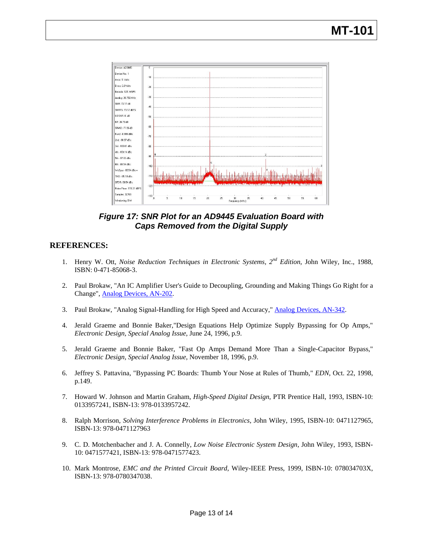

*Figure 17: SNR Plot for an AD9445 Evaluation Board with Caps Removed from the Digital Supply* 

#### **REFERENCES:**

- 1. Henry W. Ott, *Noise Reduction Techniques in Electronic Systems, 2nd Edition*, John Wiley, Inc., 1988, ISBN: 0-471-85068-3.
- 2. Paul Brokaw, "An IC Amplifier User's Guide to Decoupling, Grounding and Making Things Go Right for a Change", [Analog Devices, AN-202.](http://www.analog.com/static/imported-files/application_notes/135208865AN-202.pdf)
- 3. Paul Brokaw, "Analog Signal-Handling for High Speed and Accuracy," [Analog Devices, AN-342](http://www.analog.com/static/imported-files/application_notes/2904748046167431066AN-342.pdf).
- 4. Jerald Graeme and Bonnie Baker,"Design Equations Help Optimize Supply Bypassing for Op Amps," *Electronic Design, Special Analog Issue*, June 24, 1996, p.9.
- 5. Jerald Graeme and Bonnie Baker, "Fast Op Amps Demand More Than a Single-Capacitor Bypass," *Electronic Design, Special Analog Issue*, November 18, 1996, p.9.
- 6. Jeffrey S. Pattavina, "Bypassing PC Boards: Thumb Your Nose at Rules of Thumb," *EDN*, Oct. 22, 1998, p.149.
- 7. Howard W. Johnson and Martin Graham, *High-Speed Digital Design*, PTR Prentice Hall, 1993, ISBN-10: 0133957241, ISBN-13: 978-0133957242.
- 8. Ralph Morrison, *Solving Interference Problems in Electronics*, John Wiley, 1995, ISBN-10: 0471127965, ISBN-13: 978-0471127963
- 9. C. D. Motchenbacher and J. A. Connelly, *Low Noise Electronic System Design*, John Wiley, 1993, ISBN-10: 0471577421, ISBN-13: 978-0471577423.
- 10. Mark Montrose, *EMC and the Printed Circuit Board*, Wiley-IEEE Press, 1999, ISBN-10: 078034703X, ISBN-13: 978-0780347038.